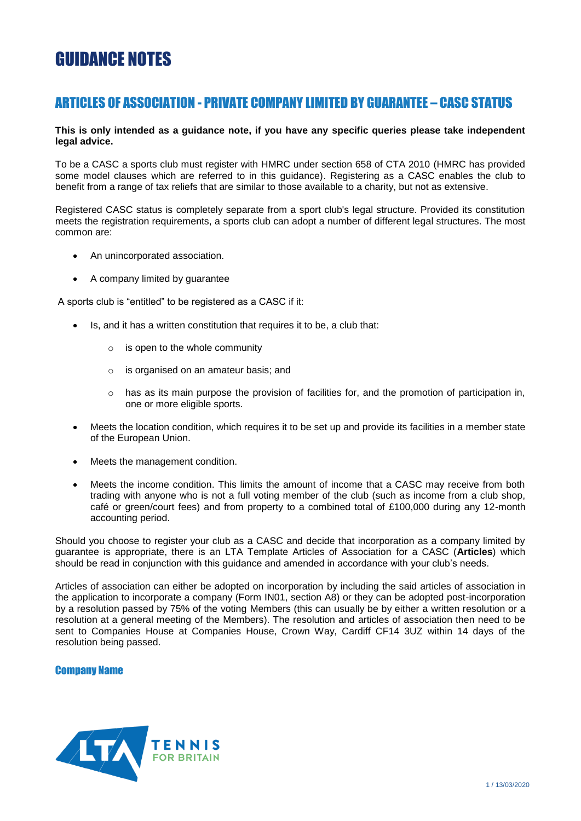# GUIDANCE NOTES

# ARTICLES OF ASSOCIATION - PRIVATE COMPANY LIMITED BY GUARANTEE – CASC STATUS

# **This is only intended as a guidance note, if you have any specific queries please take independent legal advice.**

To be a CASC a sports club must register with HMRC under section 658 of CTA 2010 (HMRC has provided some model clauses which are referred to in this guidance). Registering as a CASC enables the club to benefit from a range of tax reliefs that are similar to those available to a charity, but not as extensive.

Registered CASC status is completely separate from a sport club's legal structure. Provided its constitution meets the registration requirements, a sports club can adopt a number of different legal structures. The most common are:

- An unincorporated association.
- A company limited by guarantee

A sports club is "entitled" to be registered as a CASC if it:

- Is, and it has a written constitution that requires it to be, a club that:
	- $\circ$  is open to the whole community
	- o is organised on an amateur basis; and
	- $\circ$  has as its main purpose the provision of facilities for, and the promotion of participation in, one or more eligible sports.
- Meets the location condition, which requires it to be set up and provide its facilities in a member state of the European Union.
- Meets the management condition.
- Meets the income condition. This limits the amount of income that a CASC may receive from both trading with anyone who is not a full voting member of the club (such as income from a club shop, café or green/court fees) and from property to a combined total of £100,000 during any 12-month accounting period.

Should you choose to register your club as a CASC and decide that incorporation as a company limited by guarantee is appropriate, there is an LTA Template Articles of Association for a CASC (**Articles**) which should be read in conjunction with this guidance and amended in accordance with your club's needs.

Articles of association can either be adopted on incorporation by including the said articles of association in the application to incorporate a company (Form IN01, section A8) or they can be adopted post-incorporation by a resolution passed by 75% of the voting Members (this can usually be by either a written resolution or a resolution at a general meeting of the Members). The resolution and articles of association then need to be sent to Companies House at Companies House, Crown Way, Cardiff CF14 3UZ within 14 days of the resolution being passed.

# Company Name

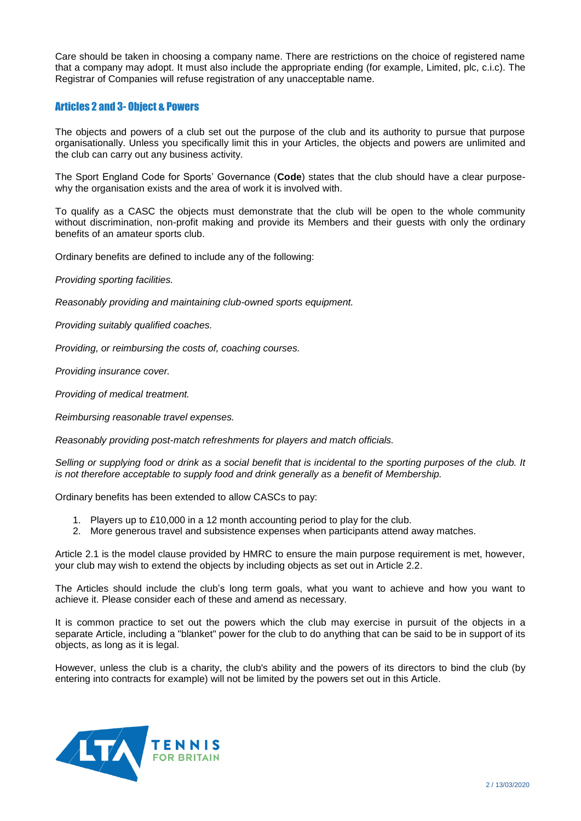Care should be taken in choosing a company name. There are restrictions on the choice of registered name that a company may adopt. It must also include the appropriate ending (for example, Limited, plc, c.i.c). The Registrar of Companies will refuse registration of any unacceptable name.

# Articles 2 and 3- Object & Powers

The objects and powers of a club set out the purpose of the club and its authority to pursue that purpose organisationally. Unless you specifically limit this in your Articles, the objects and powers are unlimited and the club can carry out any business activity.

The Sport England Code for Sports' Governance (**Code**) states that the club should have a clear purposewhy the organisation exists and the area of work it is involved with.

To qualify as a CASC the objects must demonstrate that the club will be open to the whole community without discrimination, non-profit making and provide its Members and their guests with only the ordinary benefits of an amateur sports club.

Ordinary benefits are defined to include any of the following:

*Providing sporting facilities.*

*Reasonably providing and maintaining club-owned sports equipment.*

*Providing suitably qualified coaches.*

*Providing, or reimbursing the costs of, coaching courses.*

*Providing insurance cover.*

*Providing of medical treatment.*

*Reimbursing reasonable travel expenses.*

*Reasonably providing post-match refreshments for players and match officials.*

*Selling or supplying food or drink as a social benefit that is incidental to the sporting purposes of the club. It is not therefore acceptable to supply food and drink generally as a benefit of Membership.*

Ordinary benefits has been extended to allow CASCs to pay:

- 1. Players up to £10,000 in a 12 month accounting period to play for the club.
- 2. More generous travel and subsistence expenses when participants attend away matches.

Article 2.1 is the model clause provided by HMRC to ensure the main purpose requirement is met, however, your club may wish to extend the objects by including objects as set out in Article 2.2.

The Articles should include the club's long term goals, what you want to achieve and how you want to achieve it. Please consider each of these and amend as necessary.

It is common practice to set out the powers which the club may exercise in pursuit of the objects in a separate Article, including a "blanket" power for the club to do anything that can be said to be in support of its objects, as long as it is legal.

However, unless the club is a charity, the club's ability and the powers of its directors to bind the club (by entering into contracts for example) will not be limited by the powers set out in this Article.

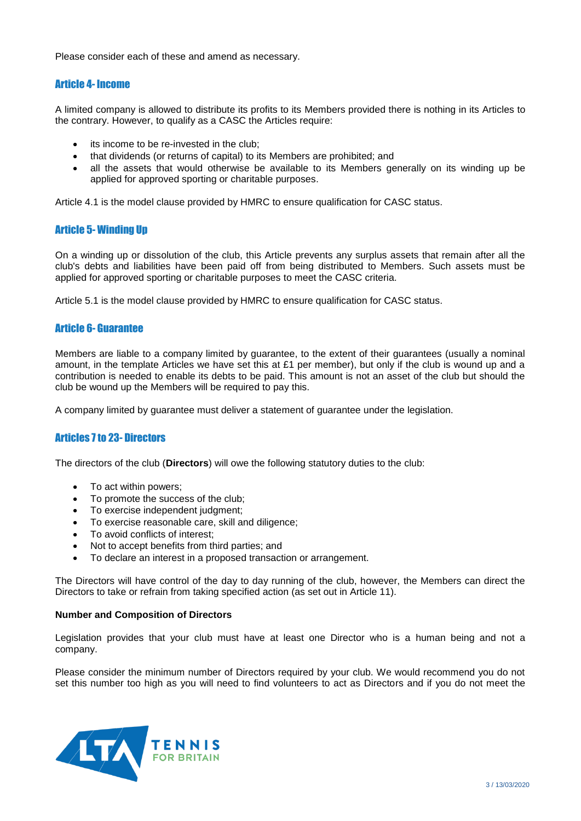Please consider each of these and amend as necessary.

# Article 4- Income

A limited company is allowed to distribute its profits to its Members provided there is nothing in its Articles to the contrary. However, to qualify as a CASC the Articles require:

- its income to be re-invested in the club;
- that dividends (or returns of capital) to its Members are prohibited; and
- all the assets that would otherwise be available to its Members generally on its winding up be applied for approved sporting or charitable purposes.

Article 4.1 is the model clause provided by HMRC to ensure qualification for CASC status.

# Article 5- Winding Up

On a winding up or dissolution of the club, this Article prevents any surplus assets that remain after all the club's debts and liabilities have been paid off from being distributed to Members. Such assets must be applied for approved sporting or charitable purposes to meet the CASC criteria.

Article 5.1 is the model clause provided by HMRC to ensure qualification for CASC status.

# Article 6- Guarantee

Members are liable to a company limited by guarantee, to the extent of their guarantees (usually a nominal amount, in the template Articles we have set this at £1 per member), but only if the club is wound up and a contribution is needed to enable its debts to be paid. This amount is not an asset of the club but should the club be wound up the Members will be required to pay this.

A company limited by guarantee must deliver a statement of guarantee under the legislation.

# Articles 7 to 23- Directors

The directors of the club (**Directors**) will owe the following statutory duties to the club:

- To act within powers:
- To promote the success of the club:
- To exercise independent judgment;
- To exercise reasonable care, skill and diligence;
- To avoid conflicts of interest:
- Not to accept benefits from third parties; and
- To declare an interest in a proposed transaction or arrangement.

The Directors will have control of the day to day running of the club, however, the Members can direct the Directors to take or refrain from taking specified action (as set out in Article 11).

# **Number and Composition of Directors**

Legislation provides that your club must have at least one Director who is a human being and not a company.

Please consider the minimum number of Directors required by your club. We would recommend you do not set this number too high as you will need to find volunteers to act as Directors and if you do not meet the

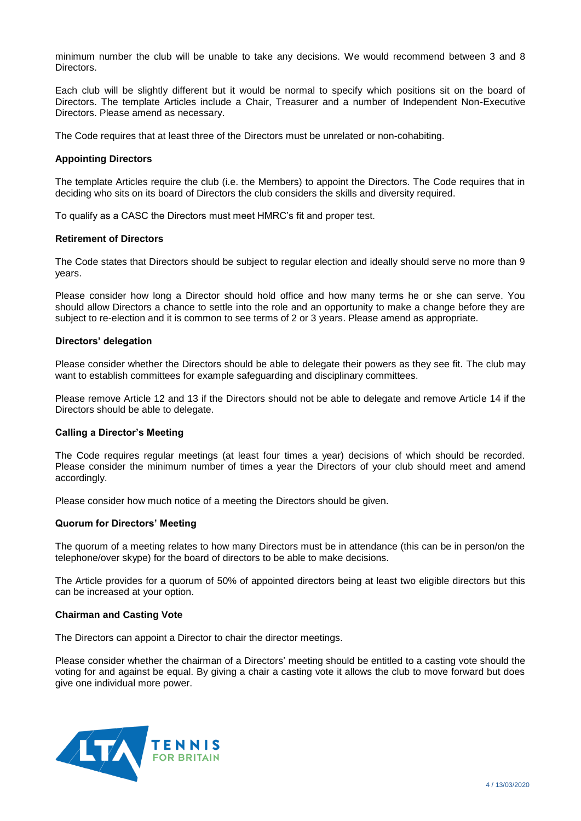minimum number the club will be unable to take any decisions. We would recommend between 3 and 8 Directors.

Each club will be slightly different but it would be normal to specify which positions sit on the board of Directors. The template Articles include a Chair, Treasurer and a number of Independent Non-Executive Directors. Please amend as necessary.

The Code requires that at least three of the Directors must be unrelated or non-cohabiting.

# **Appointing Directors**

The template Articles require the club (i.e. the Members) to appoint the Directors. The Code requires that in deciding who sits on its board of Directors the club considers the skills and diversity required.

To qualify as a CASC the Directors must meet HMRC's fit and proper test.

#### **Retirement of Directors**

The Code states that Directors should be subject to regular election and ideally should serve no more than 9 years.

Please consider how long a Director should hold office and how many terms he or she can serve. You should allow Directors a chance to settle into the role and an opportunity to make a change before they are subject to re-election and it is common to see terms of 2 or 3 years. Please amend as appropriate.

#### **Directors' delegation**

Please consider whether the Directors should be able to delegate their powers as they see fit. The club may want to establish committees for example safeguarding and disciplinary committees.

Please remove Article 12 and 13 if the Directors should not be able to delegate and remove Article 14 if the Directors should be able to delegate.

# **Calling a Director's Meeting**

The Code requires regular meetings (at least four times a year) decisions of which should be recorded. Please consider the minimum number of times a year the Directors of your club should meet and amend accordingly.

Please consider how much notice of a meeting the Directors should be given.

# **Quorum for Directors' Meeting**

The quorum of a meeting relates to how many Directors must be in attendance (this can be in person/on the telephone/over skype) for the board of directors to be able to make decisions.

The Article provides for a quorum of 50% of appointed directors being at least two eligible directors but this can be increased at your option.

# **Chairman and Casting Vote**

The Directors can appoint a Director to chair the director meetings.

Please consider whether the chairman of a Directors' meeting should be entitled to a casting vote should the voting for and against be equal. By giving a chair a casting vote it allows the club to move forward but does give one individual more power.

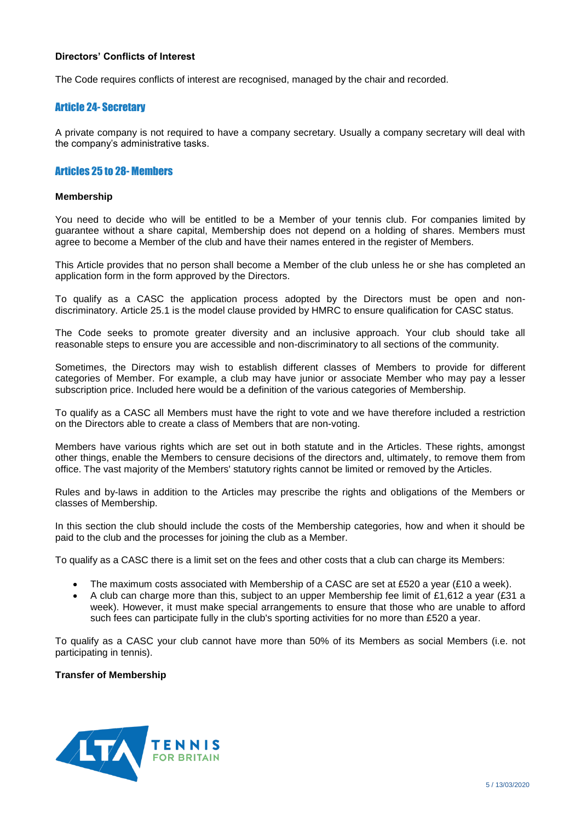# **Directors' Conflicts of Interest**

The Code requires conflicts of interest are recognised, managed by the chair and recorded.

# Article 24- Secretary

A private company is not required to have a company secretary. Usually a company secretary will deal with the company's administrative tasks.

# Articles 25 to 28- Members

# **Membership**

You need to decide who will be entitled to be a Member of your tennis club. For companies limited by guarantee without a share capital, Membership does not depend on a holding of shares. Members must agree to become a Member of the club and have their names entered in the register of Members.

This Article provides that no person shall become a Member of the club unless he or she has completed an application form in the form approved by the Directors.

To qualify as a CASC the application process adopted by the Directors must be open and nondiscriminatory. Article 25.1 is the model clause provided by HMRC to ensure qualification for CASC status.

The Code seeks to promote greater diversity and an inclusive approach. Your club should take all reasonable steps to ensure you are accessible and non-discriminatory to all sections of the community.

Sometimes, the Directors may wish to establish different classes of Members to provide for different categories of Member. For example, a club may have junior or associate Member who may pay a lesser subscription price. Included here would be a definition of the various categories of Membership.

To qualify as a CASC all Members must have the right to vote and we have therefore included a restriction on the Directors able to create a class of Members that are non-voting.

Members have various rights which are set out in both statute and in the Articles. These rights, amongst other things, enable the Members to censure decisions of the directors and, ultimately, to remove them from office. The vast majority of the Members' statutory rights cannot be limited or removed by the Articles.

Rules and by-laws in addition to the Articles may prescribe the rights and obligations of the Members or classes of Membership.

In this section the club should include the costs of the Membership categories, how and when it should be paid to the club and the processes for joining the club as a Member.

To qualify as a CASC there is a limit set on the fees and other costs that a club can charge its Members:

- The maximum costs associated with Membership of a CASC are set at £520 a year (£10 a week).
- A club can charge more than this, subject to an upper Membership fee limit of £1,612 a year (£31 a week). However, it must make special arrangements to ensure that those who are unable to afford such fees can participate fully in the club's sporting activities for no more than £520 a year.

To qualify as a CASC your club cannot have more than 50% of its Members as social Members (i.e. not participating in tennis).

# **Transfer of Membership**

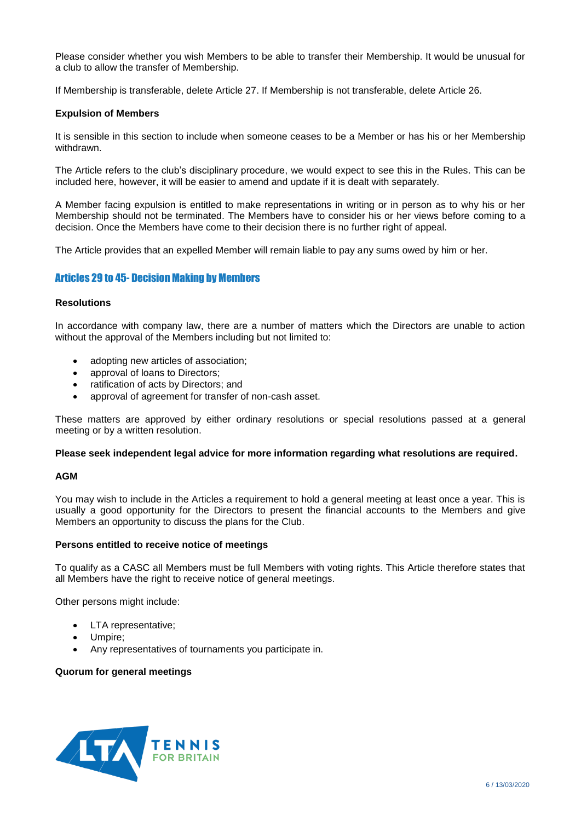Please consider whether you wish Members to be able to transfer their Membership. It would be unusual for a club to allow the transfer of Membership.

If Membership is transferable, delete Article 27. If Membership is not transferable, delete Article 26.

# **Expulsion of Members**

It is sensible in this section to include when someone ceases to be a Member or has his or her Membership withdrawn.

The Article refers to the club's disciplinary procedure, we would expect to see this in the Rules. This can be included here, however, it will be easier to amend and update if it is dealt with separately.

A Member facing expulsion is entitled to make representations in writing or in person as to why his or her Membership should not be terminated. The Members have to consider his or her views before coming to a decision. Once the Members have come to their decision there is no further right of appeal.

The Article provides that an expelled Member will remain liable to pay any sums owed by him or her.

# Articles 29 to 45- Decision Making by Members

# **Resolutions**

In accordance with company law, there are a number of matters which the Directors are unable to action without the approval of the Members including but not limited to:

- adopting new articles of association;
- approval of loans to Directors;
- ratification of acts by Directors; and
- approval of agreement for transfer of non-cash asset.

These matters are approved by either ordinary resolutions or special resolutions passed at a general meeting or by a written resolution.

# **Please seek independent legal advice for more information regarding what resolutions are required.**

# **AGM**

You may wish to include in the Articles a requirement to hold a general meeting at least once a year. This is usually a good opportunity for the Directors to present the financial accounts to the Members and give Members an opportunity to discuss the plans for the Club.

# **Persons entitled to receive notice of meetings**

To qualify as a CASC all Members must be full Members with voting rights. This Article therefore states that all Members have the right to receive notice of general meetings.

Other persons might include:

- LTA representative;
- Umpire;
- Any representatives of tournaments you participate in.

# **Quorum for general meetings**